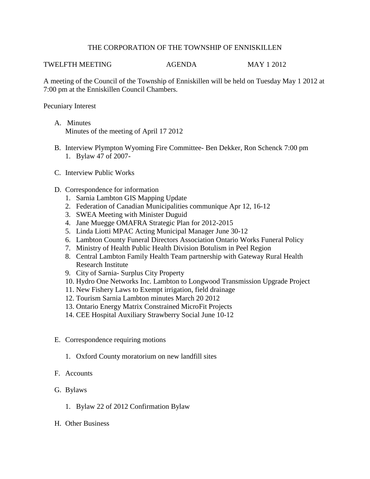## THE CORPORATION OF THE TOWNSHIP OF ENNISKILLEN

## TWELFTH MEETING AGENDA MAY 1 2012

A meeting of the Council of the Township of Enniskillen will be held on Tuesday May 1 2012 at 7:00 pm at the Enniskillen Council Chambers.

Pecuniary Interest

- A. Minutes Minutes of the meeting of April 17 2012
- B. Interview Plympton Wyoming Fire Committee- Ben Dekker, Ron Schenck 7:00 pm 1. Bylaw 47 of 2007-
- C. Interview Public Works
- D. Correspondence for information
	- 1. Sarnia Lambton GIS Mapping Update
	- 2. Federation of Canadian Municipalities communique Apr 12, 16-12
	- 3. SWEA Meeting with Minister Duguid
	- 4. Jane Muegge OMAFRA Strategic Plan for 2012-2015
	- 5. Linda Liotti MPAC Acting Municipal Manager June 30-12
	- 6. Lambton County Funeral Directors Association Ontario Works Funeral Policy
	- 7. Ministry of Health Public Health Division Botulism in Peel Region
	- 8. Central Lambton Family Health Team partnership with Gateway Rural Health Research Institute
	- 9. City of Sarnia- Surplus City Property
	- 10. Hydro One Networks Inc. Lambton to Longwood Transmission Upgrade Project
	- 11. New Fishery Laws to Exempt irrigation, field drainage
	- 12. Tourism Sarnia Lambton minutes March 20 2012
	- 13. Ontario Energy Matrix Constrained MicroFit Projects
	- 14. CEE Hospital Auxiliary Strawberry Social June 10-12
- E. Correspondence requiring motions
	- 1. Oxford County moratorium on new landfill sites
- F. Accounts
- G. Bylaws
	- 1. Bylaw 22 of 2012 Confirmation Bylaw
- H. Other Business